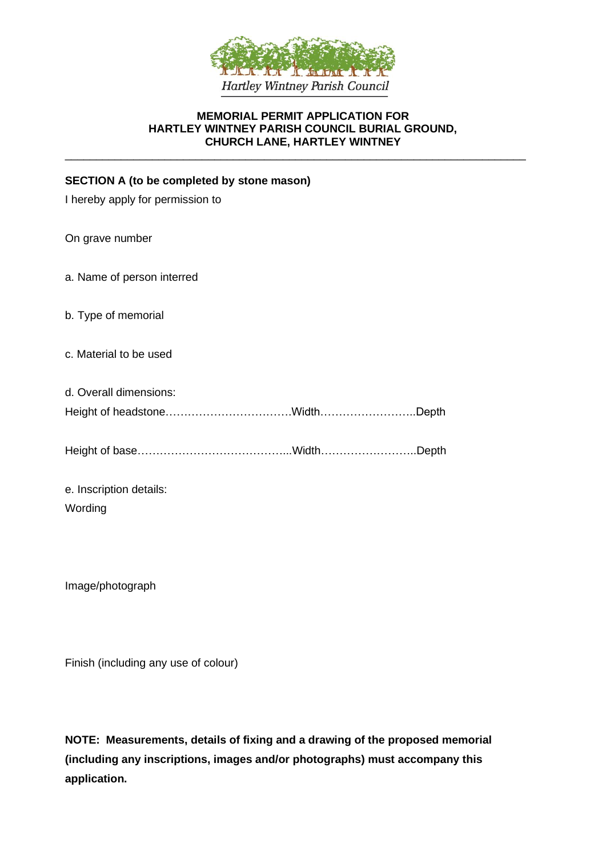

#### **MEMORIAL PERMIT APPLICATION FOR HARTLEY WINTNEY PARISH COUNCIL BURIAL GROUND, CHURCH LANE, HARTLEY WINTNEY**

\_\_\_\_\_\_\_\_\_\_\_\_\_\_\_\_\_\_\_\_\_\_\_\_\_\_\_\_\_\_\_\_\_\_\_\_\_\_\_\_\_\_\_\_\_\_\_\_\_\_\_\_\_\_\_\_\_\_\_\_\_\_\_\_\_\_\_\_\_\_\_\_\_\_

#### **SECTION A (to be completed by stone mason)**

|  |  |  |  | I hereby apply for permission to |  |
|--|--|--|--|----------------------------------|--|
|--|--|--|--|----------------------------------|--|

On grave number

a. Name of person interred

- b. Type of memorial
- c. Material to be used
- d. Overall dimensions: Height of headstone…………………………….Width……………………..Depth

Height of base…………………………………...Width……………………..Depth

e. Inscription details: Wording

Image/photograph

Finish (including any use of colour)

**NOTE: Measurements, details of fixing and a drawing of the proposed memorial (including any inscriptions, images and/or photographs) must accompany this application.**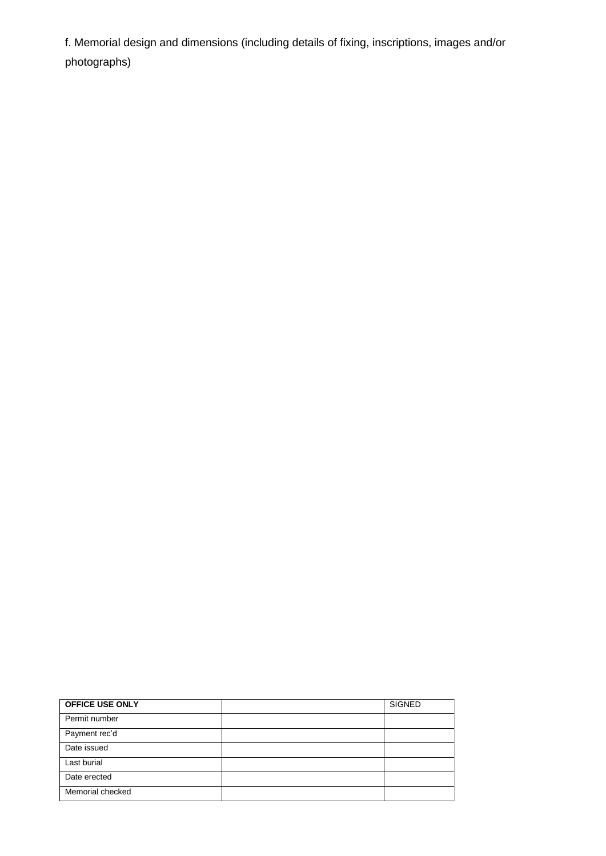f. Memorial design and dimensions (including details of fixing, inscriptions, images and/or photographs)

| <b>OFFICE USE ONLY</b> | <b>SIGNED</b> |
|------------------------|---------------|
| Permit number          |               |
| Payment rec'd          |               |
| Date issued            |               |
| Last burial            |               |
| Date erected           |               |
| Memorial checked       |               |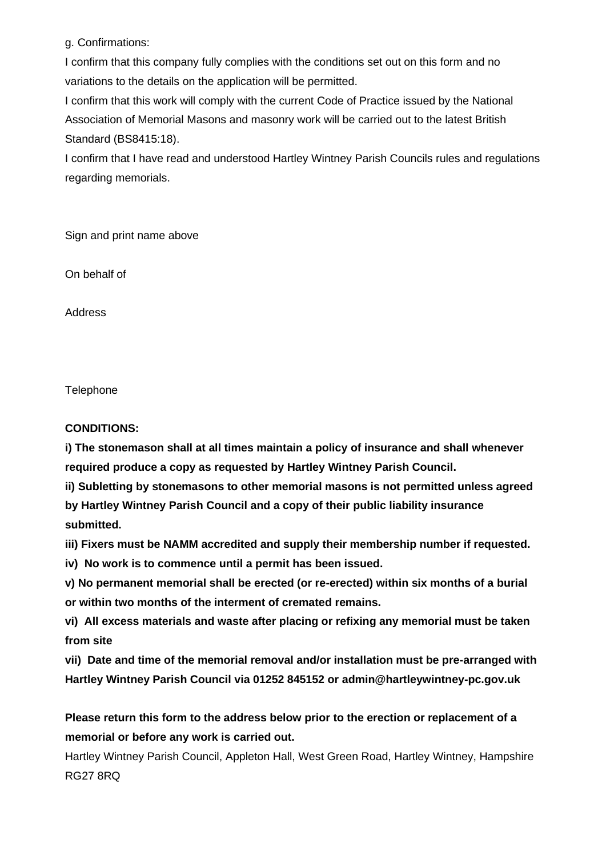g. Confirmations:

I confirm that this company fully complies with the conditions set out on this form and no variations to the details on the application will be permitted.

I confirm that this work will comply with the current Code of Practice issued by the National Association of Memorial Masons and masonry work will be carried out to the latest British Standard (BS8415:18).

I confirm that I have read and understood Hartley Wintney Parish Councils rules and regulations regarding memorials.

Sign and print name above

On behalf of

Address

**Telephone** 

# **CONDITIONS:**

**i) The stonemason shall at all times maintain a policy of insurance and shall whenever required produce a copy as requested by Hartley Wintney Parish Council.**

**ii) Subletting by stonemasons to other memorial masons is not permitted unless agreed by Hartley Wintney Parish Council and a copy of their public liability insurance submitted.**

**iii) Fixers must be NAMM accredited and supply their membership number if requested.**

**iv) No work is to commence until a permit has been issued.**

**v) No permanent memorial shall be erected (or re-erected) within six months of a burial or within two months of the interment of cremated remains.**

**vi) All excess materials and waste after placing or refixing any memorial must be taken from site**

**vii) Date and time of the memorial removal and/or installation must be pre-arranged with Hartley Wintney Parish Council via 01252 845152 or admin@hartleywintney-pc.gov.uk**

**Please return this form to the address below prior to the erection or replacement of a memorial or before any work is carried out.**

Hartley Wintney Parish Council, Appleton Hall, West Green Road, Hartley Wintney, Hampshire RG27 8RQ